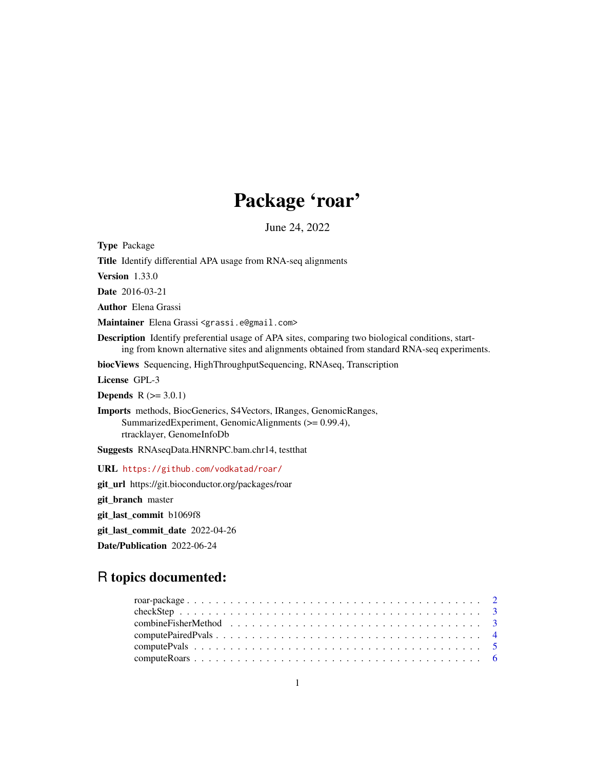# Package 'roar'

June 24, 2022

<span id="page-0-0"></span>Type Package Title Identify differential APA usage from RNA-seq alignments Version 1.33.0 Date 2016-03-21 Author Elena Grassi Maintainer Elena Grassi <grassi.e@gmail.com> Description Identify preferential usage of APA sites, comparing two biological conditions, starting from known alternative sites and alignments obtained from standard RNA-seq experiments. biocViews Sequencing, HighThroughputSequencing, RNAseq, Transcription License GPL-3 **Depends**  $R (= 3.0.1)$ Imports methods, BiocGenerics, S4Vectors, IRanges, GenomicRanges, SummarizedExperiment, GenomicAlignments (>= 0.99.4), rtracklayer, GenomeInfoDb Suggests RNAseqData.HNRNPC.bam.chr14, testthat URL <https://github.com/vodkatad/roar/> git\_url https://git.bioconductor.org/packages/roar git\_branch master git\_last\_commit b1069f8 git\_last\_commit\_date 2022-04-26

Date/Publication 2022-06-24

# R topics documented: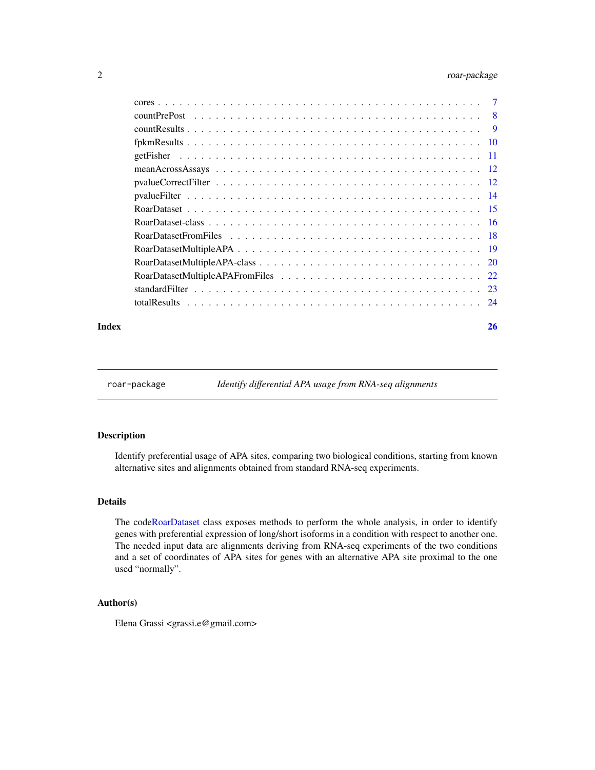# <span id="page-1-0"></span>2 roar-package

| - 8 |
|-----|
|     |
|     |
|     |
|     |
|     |
|     |
|     |
|     |
|     |
|     |
|     |
| 22  |
| 23  |
|     |
|     |

#### **Index** [26](#page-25-0)

roar-package *Identify differential APA usage from RNA-seq alignments*

# Description

Identify preferential usage of APA sites, comparing two biological conditions, starting from known alternative sites and alignments obtained from standard RNA-seq experiments.

# Details

The cod[eRoarDataset](#page-15-1) class exposes methods to perform the whole analysis, in order to identify genes with preferential expression of long/short isoforms in a condition with respect to another one. The needed input data are alignments deriving from RNA-seq experiments of the two conditions and a set of coordinates of APA sites for genes with an alternative APA site proximal to the one used "normally".

# Author(s)

Elena Grassi <grassi.e@gmail.com>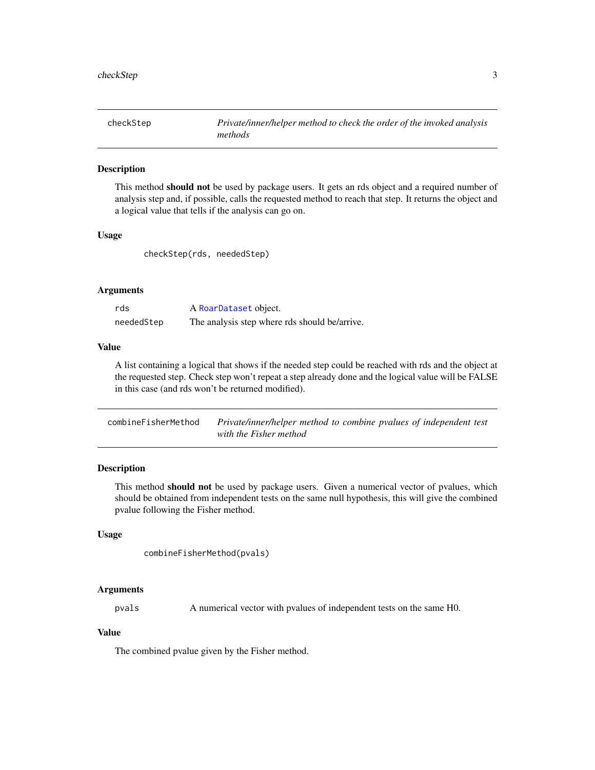<span id="page-2-0"></span>checkStep *Private/inner/helper method to check the order of the invoked analysis methods*

### Description

This method should not be used by package users. It gets an rds object and a required number of analysis step and, if possible, calls the requested method to reach that step. It returns the object and a logical value that tells if the analysis can go on.

#### Usage

checkStep(rds, neededStep)

### Arguments

| rds        | A RoarDataset object.                         |
|------------|-----------------------------------------------|
| neededStep | The analysis step where rds should be/arrive. |

# Value

A list containing a logical that shows if the needed step could be reached with rds and the object at the requested step. Check step won't repeat a step already done and the logical value will be FALSE in this case (and rds won't be returned modified).

| combineFisherMethod | Private/inner/helper method to combine pvalues of independent test |
|---------------------|--------------------------------------------------------------------|
|                     | with the Fisher method                                             |

# Description

This method should not be used by package users. Given a numerical vector of pvalues, which should be obtained from independent tests on the same null hypothesis, this will give the combined pvalue following the Fisher method.

#### Usage

```
combineFisherMethod(pvals)
```
#### Arguments

pvals A numerical vector with pvalues of independent tests on the same H0.

# Value

The combined pvalue given by the Fisher method.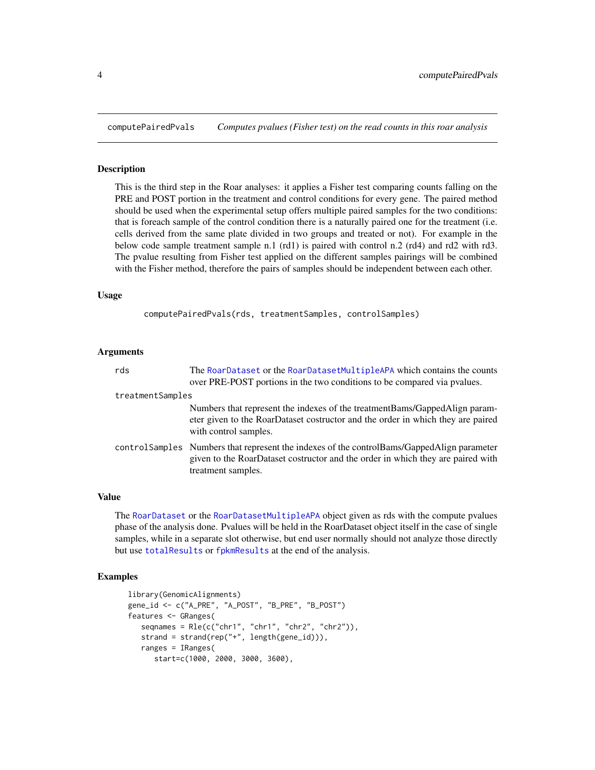<span id="page-3-0"></span>

#### Description

This is the third step in the Roar analyses: it applies a Fisher test comparing counts falling on the PRE and POST portion in the treatment and control conditions for every gene. The paired method should be used when the experimental setup offers multiple paired samples for the two conditions: that is foreach sample of the control condition there is a naturally paired one for the treatment (i.e. cells derived from the same plate divided in two groups and treated or not). For example in the below code sample treatment sample n.1 (rd1) is paired with control n.2 (rd4) and rd2 with rd3. The pvalue resulting from Fisher test applied on the different samples pairings will be combined with the Fisher method, therefore the pairs of samples should be independent between each other.

#### Usage

computePairedPvals(rds, treatmentSamples, controlSamples)

# Arguments

| rds              | The RoarDataset or the RoarDatasetMultipleAPA which contains the counts<br>over PRE-POST portions in the two conditions to be compared via pvalues.                                                 |
|------------------|-----------------------------------------------------------------------------------------------------------------------------------------------------------------------------------------------------|
| treatmentSamples |                                                                                                                                                                                                     |
|                  | Numbers that represent the indexes of the treatment Bams/Gapped Align param-<br>eter given to the RoarDataset costructor and the order in which they are paired<br>with control samples.            |
|                  | controlSamples Numbers that represent the indexes of the controlBams/GappedAlign parameter<br>given to the RoarDataset costructor and the order in which they are paired with<br>treatment samples. |

# Value

The [RoarDataset](#page-15-1) or the [RoarDatasetMultipleAPA](#page-19-1) object given as rds with the compute pvalues phase of the analysis done. Pvalues will be held in the RoarDataset object itself in the case of single samples, while in a separate slot otherwise, but end user normally should not analyze those directly but use [totalResults](#page-23-1) or [fpkmResults](#page-9-1) at the end of the analysis.

```
library(GenomicAlignments)
gene_id <- c("A_PRE", "A_POST", "B_PRE", "B_POST")
features <- GRanges(
   seqnames = Rle(c("chr1", "chr1", "chr2", "chr2")),
   strand = strand(rep("+", length(gene_id))),
   ranges = IRanges(
      start=c(1000, 2000, 3000, 3600),
```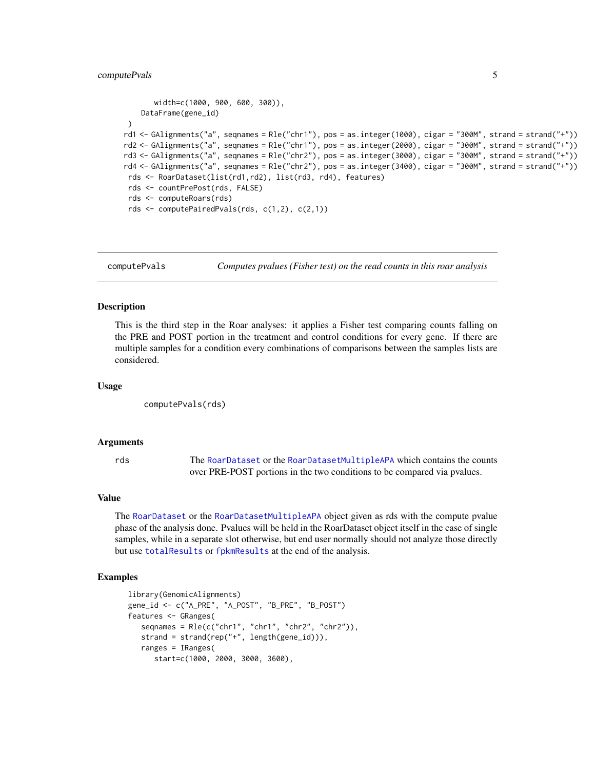# <span id="page-4-0"></span>computePvals 5

```
width=c(1000, 900, 600, 300)),
    DataFrame(gene_id)
 )
rd1 <- GAlignments("a", seqnames = Rle("chr1"), pos = as.integer(1000), cigar = "300M", strand = strand("+"))
rd2 <- GAlignments("a", seqnames = Rle("chr1"), pos = as.integer(2000), cigar = "300M", strand = strand("+"))
rd3 <- GAlignments("a", seqnames = Rle("chr2"), pos = as.integer(3000), cigar = "300M", strand = strand("+"))
rd4 <- GAlignments("a", seqnames = Rle("chr2"), pos = as.integer(3400), cigar = "300M", strand = strand("+"))
 rds <- RoarDataset(list(rd1,rd2), list(rd3, rd4), features)
 rds <- countPrePost(rds, FALSE)
 rds <- computeRoars(rds)
 rds <- computePairedPvals(rds, c(1,2), c(2,1))
```
<span id="page-4-1"></span>computePvals *Computes pvalues (Fisher test) on the read counts in this roar analysis*

#### **Description**

This is the third step in the Roar analyses: it applies a Fisher test comparing counts falling on the PRE and POST portion in the treatment and control conditions for every gene. If there are multiple samples for a condition every combinations of comparisons between the samples lists are considered.

#### Usage

computePvals(rds)

# Arguments

rds The [RoarDataset](#page-15-1) or the [RoarDatasetMultipleAPA](#page-19-1) which contains the counts over PRE-POST portions in the two conditions to be compared via pvalues.

#### Value

The [RoarDataset](#page-15-1) or the [RoarDatasetMultipleAPA](#page-19-1) object given as rds with the compute pvalue phase of the analysis done. Pvalues will be held in the RoarDataset object itself in the case of single samples, while in a separate slot otherwise, but end user normally should not analyze those directly but use [totalResults](#page-23-1) or [fpkmResults](#page-9-1) at the end of the analysis.

```
library(GenomicAlignments)
gene_id <- c("A_PRE", "A_POST", "B_PRE", "B_POST")
features <- GRanges(
  seqnames = Rle(c("chr1", "chr1", "chr2", "chr2")),
  strand = strand(rep("+", length(gene_id))),
  ranges = IRanges(
     start=c(1000, 2000, 3000, 3600),
```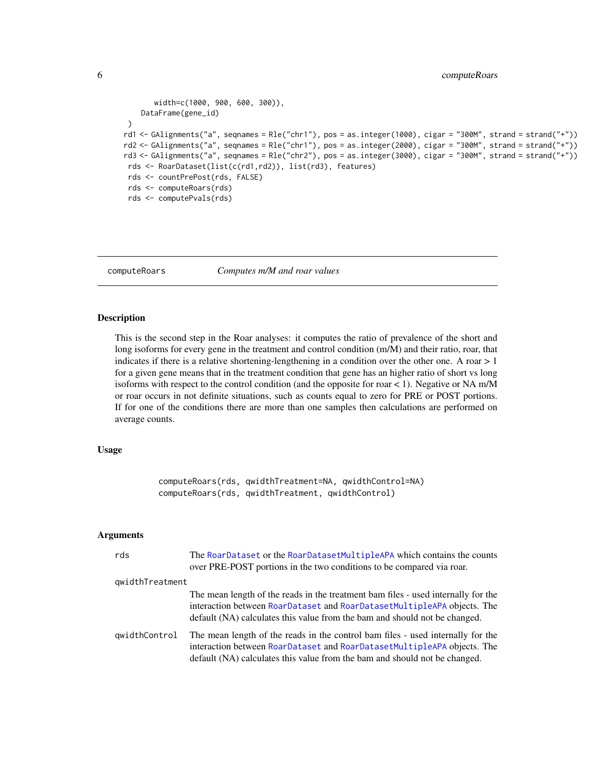```
width=c(1000, 900, 600, 300)),
    DataFrame(gene_id)
 )
rd1 <- GAlignments("a", seqnames = Rle("chr1"), pos = as.integer(1000), cigar = "300M", strand = strand("+"))
rd2 <- GAlignments("a", seqnames = Rle("chr1"), pos = as.integer(2000), cigar = "300M", strand = strand("+"))
rd3 <- GAlignments("a", seqnames = Rle("chr2"), pos = as.integer(3000), cigar = "300M", strand = strand("+"))
 rds <- RoarDataset(list(c(rd1,rd2)), list(rd3), features)
 rds <- countPrePost(rds, FALSE)
 rds <- computeRoars(rds)
 rds <- computePvals(rds)
```
<span id="page-5-1"></span>

computeRoars *Computes m/M and roar values*

#### **Description**

This is the second step in the Roar analyses: it computes the ratio of prevalence of the short and long isoforms for every gene in the treatment and control condition  $(m/M)$  and their ratio, roar, that indicates if there is a relative shortening-lengthening in a condition over the other one. A roar  $> 1$ for a given gene means that in the treatment condition that gene has an higher ratio of short vs long isoforms with respect to the control condition (and the opposite for roar  $< 1$ ). Negative or NA m/M or roar occurs in not definite situations, such as counts equal to zero for PRE or POST portions. If for one of the conditions there are more than one samples then calculations are performed on average counts.

# Usage

computeRoars(rds, qwidthTreatment=NA, qwidthControl=NA) computeRoars(rds, qwidthTreatment, qwidthControl)

#### Arguments

| rds             | The RoarDataset or the RoarDatasetMultipleAPA which contains the counts<br>over PRE-POST portions in the two conditions to be compared via roar.                                                                                           |
|-----------------|--------------------------------------------------------------------------------------------------------------------------------------------------------------------------------------------------------------------------------------------|
| qwidthTreatment |                                                                                                                                                                                                                                            |
|                 | The mean length of the reads in the treatment bam files - used internally for the<br>interaction between RoarDataset and RoarDatasetMultipleAPA objects. The<br>default (NA) calculates this value from the bam and should not be changed. |
| qwidthControl   | The mean length of the reads in the control bam files - used internally for the<br>interaction between RoarDataset and RoarDatasetMultipleAPA objects. The<br>default (NA) calculates this value from the bam and should not be changed.   |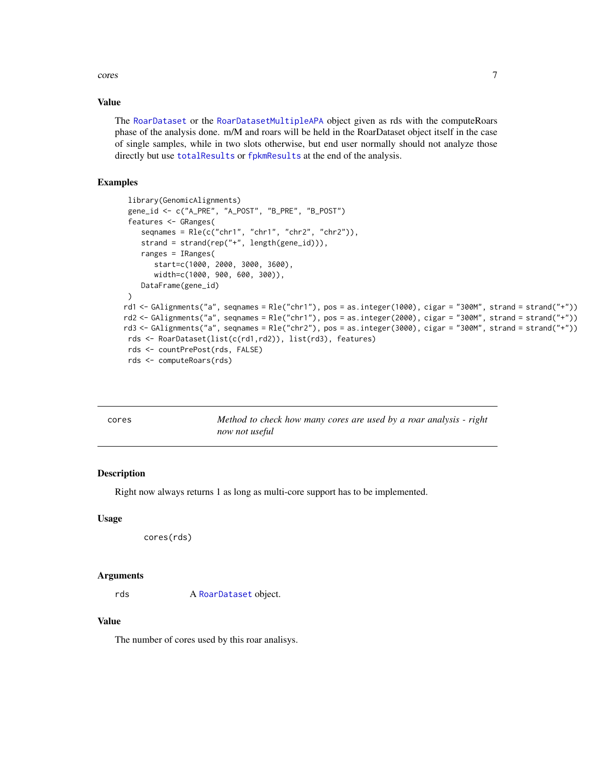<span id="page-6-0"></span>cores  $\sim$  7

# Value

The [RoarDataset](#page-15-1) or the [RoarDatasetMultipleAPA](#page-19-1) object given as rds with the computeRoars phase of the analysis done. m/M and roars will be held in the RoarDataset object itself in the case of single samples, while in two slots otherwise, but end user normally should not analyze those directly but use [totalResults](#page-23-1) or [fpkmResults](#page-9-1) at the end of the analysis.

# Examples

```
library(GenomicAlignments)
 gene_id <- c("A_PRE", "A_POST", "B_PRE", "B_POST")
 features <- GRanges(
    seqnames = Rle(c("chr1", "chr1", "chr2", "chr2")),
    strand = strand(rep("+", length(gene_id))),
    ranges = IRanges(
       start=c(1000, 2000, 3000, 3600),
       width=c(1000, 900, 600, 300)),
    DataFrame(gene_id)
 \lambdard1 <- GAlignments("a", seqnames = Rle("chr1"), pos = as.integer(1000), cigar = "300M", strand = strand("+"))
rd2 <- GAlignments("a", seqnames = Rle("chr1"), pos = as.integer(2000), cigar = "300M", strand = strand("+"))
rd3 <- GAlignments("a", seqnames = Rle("chr2"), pos = as.integer(3000), cigar = "300M", strand = strand("+"))
 rds <- RoarDataset(list(c(rd1,rd2)), list(rd3), features)
 rds <- countPrePost(rds, FALSE)
 rds <- computeRoars(rds)
```
<span id="page-6-1"></span>

| cores | Method to check how many cores are used by a roar analysis - right |  |
|-------|--------------------------------------------------------------------|--|
|       | now not useful                                                     |  |

# Description

Right now always returns 1 as long as multi-core support has to be implemented.

#### Usage

```
cores(rds)
```
#### Arguments

rds A [RoarDataset](#page-15-1) object.

#### Value

The number of cores used by this roar analisys.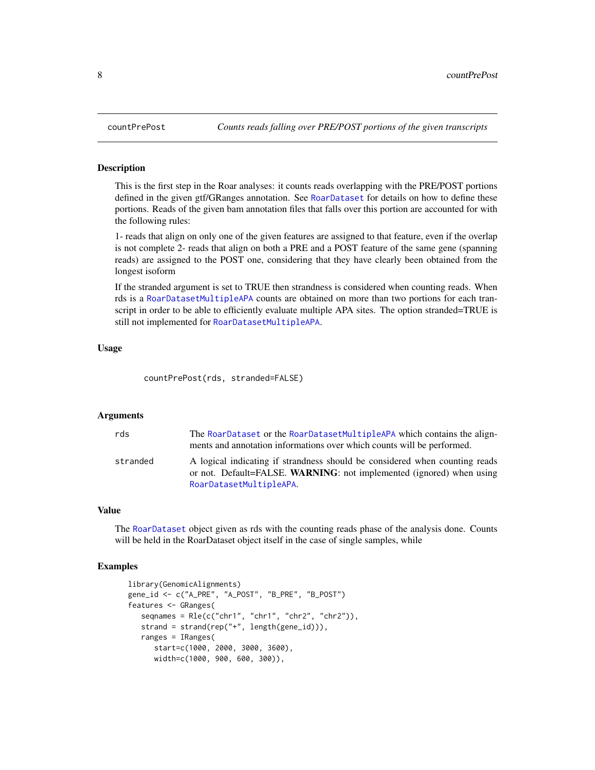#### **Description**

This is the first step in the Roar analyses: it counts reads overlapping with the PRE/POST portions defined in the given gtf/GRanges annotation. See [RoarDataset](#page-14-1) for details on how to define these portions. Reads of the given bam annotation files that falls over this portion are accounted for with the following rules:

1- reads that align on only one of the given features are assigned to that feature, even if the overlap is not complete 2- reads that align on both a PRE and a POST feature of the same gene (spanning reads) are assigned to the POST one, considering that they have clearly been obtained from the longest isoform

If the stranded argument is set to TRUE then strandness is considered when counting reads. When rds is a [RoarDatasetMultipleAPA](#page-18-1) counts are obtained on more than two portions for each transcript in order to be able to efficiently evaluate multiple APA sites. The option stranded=TRUE is still not implemented for [RoarDatasetMultipleAPA](#page-19-1).

#### Usage

countPrePost(rds, stranded=FALSE)

#### Arguments

| rds      | The RoarDataset or the RoarDatasetMultipleAPA which contains the align-     |
|----------|-----------------------------------------------------------------------------|
|          | ments and annotation informations over which counts will be performed.      |
| stranded | A logical indicating if strandness should be considered when counting reads |
|          | or not. Default=FALSE. WARNING: not implemented (ignored) when using        |
|          | RoarDatasetMultipleAPA.                                                     |

#### Value

The [RoarDataset](#page-15-1) object given as rds with the counting reads phase of the analysis done. Counts will be held in the RoarDataset object itself in the case of single samples, while

```
library(GenomicAlignments)
gene_id <- c("A_PRE", "A_POST", "B_PRE", "B_POST")
features <- GRanges(
   seqnames = Rle(c("chr1", "chr1", "chr2", "chr2")),
   strand = strand(rep("+", length(gene_id))),
  ranges = IRanges(
     start=c(1000, 2000, 3000, 3600),
     width=c(1000, 900, 600, 300)),
```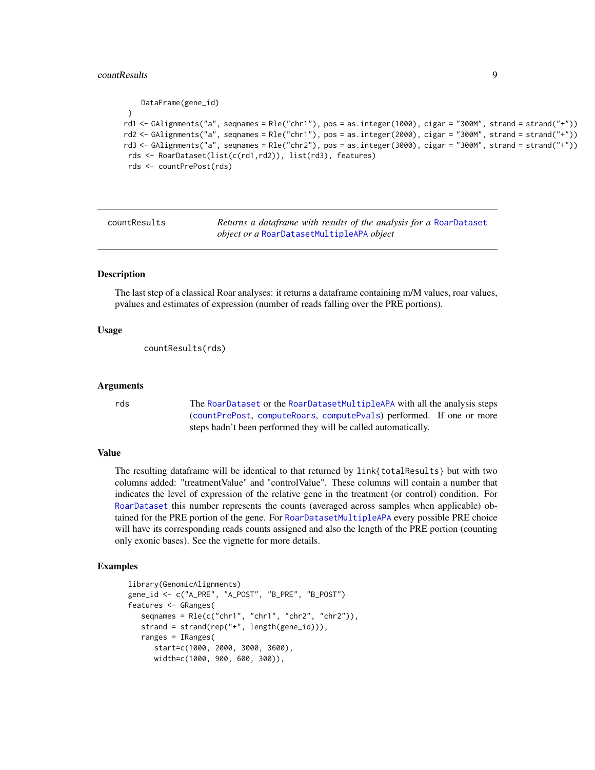#### <span id="page-8-0"></span>countResults **9**

```
DataFrame(gene_id)
 )
rd1 <- GAlignments("a", seqnames = Rle("chr1"), pos = as.integer(1000), cigar = "300M", strand = strand("+"))
rd2 <- GAlignments("a", seqnames = Rle("chr1"), pos = as.integer(2000), cigar = "300M", strand = strand("+"))
rd3 <- GAlignments("a", seqnames = Rle("chr2"), pos = as.integer(3000), cigar = "300M", strand = strand("+"))
 rds <- RoarDataset(list(c(rd1,rd2)), list(rd3), features)
 rds <- countPrePost(rds)
```
countResults *Returns a dataframe with results of the analysis for a* [RoarDataset](#page-15-1) *object or a* [RoarDatasetMultipleAPA](#page-19-1) *object*

#### **Description**

The last step of a classical Roar analyses: it returns a dataframe containing m/M values, roar values, pvalues and estimates of expression (number of reads falling over the PRE portions).

#### Usage

```
countResults(rds)
```
# Arguments

rds The [RoarDataset](#page-15-1) or the [RoarDatasetMultipleAPA](#page-19-1) with all the analysis steps ([countPrePost](#page-7-1), [computeRoars](#page-5-1), [computePvals](#page-4-1)) performed. If one or more steps hadn't been performed they will be called automatically.

### Value

The resulting dataframe will be identical to that returned by link{totalResults} but with two columns added: "treatmentValue" and "controlValue". These columns will contain a number that indicates the level of expression of the relative gene in the treatment (or control) condition. For [RoarDataset](#page-15-1) this number represents the counts (averaged across samples when applicable) obtained for the PRE portion of the gene. For [RoarDatasetMultipleAPA](#page-19-1) every possible PRE choice will have its corresponding reads counts assigned and also the length of the PRE portion (counting only exonic bases). See the vignette for more details.

```
library(GenomicAlignments)
gene_id <- c("A_PRE", "A_POST", "B_PRE", "B_POST")
features <- GRanges(
   seqnames = Rle(c("chr1", "chr1", "chr2", "chr2")),
   strand = strand(rep("+", length(gene_id))),
   ranges = IRanges(
     start=c(1000, 2000, 3000, 3600),
     width=c(1000, 900, 600, 300)),
```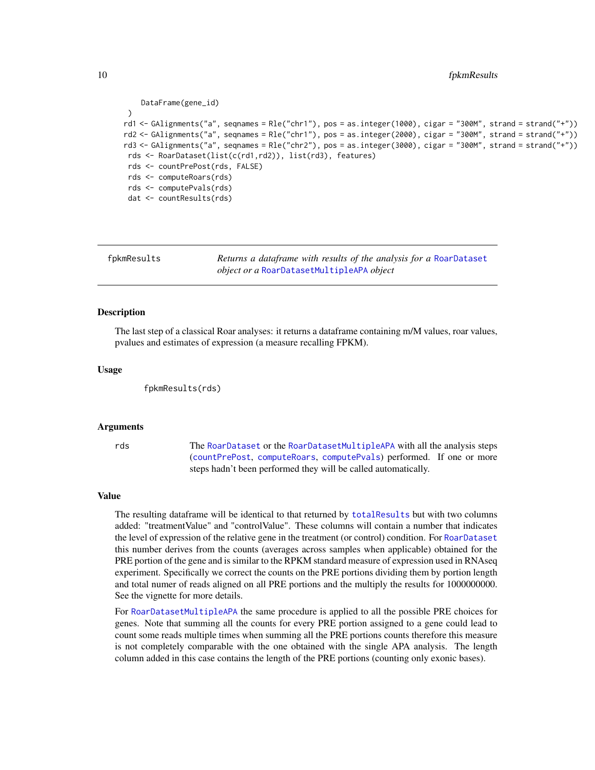```
DataFrame(gene_id)
 )
rd1 <- GAlignments("a", seqnames = Rle("chr1"), pos = as.integer(1000), cigar = "300M", strand = strand("+"))
rd2 <- GAlignments("a", seqnames = Rle("chr1"), pos = as.integer(2000), cigar = "300M", strand = strand("+"))
rd3 <- GAlignments("a", seqnames = Rle("chr2"), pos = as.integer(3000), cigar = "300M", strand = strand("+"))
 rds <- RoarDataset(list(c(rd1,rd2)), list(rd3), features)
 rds <- countPrePost(rds, FALSE)
 rds <- computeRoars(rds)
 rds <- computePvals(rds)
 dat <- countResults(rds)
```
<span id="page-9-1"></span>

fpkmResults *Returns a dataframe with results of the analysis for a* [RoarDataset](#page-15-1) *object or a* [RoarDatasetMultipleAPA](#page-19-1) *object*

#### Description

The last step of a classical Roar analyses: it returns a dataframe containing m/M values, roar values, pvalues and estimates of expression (a measure recalling FPKM).

#### Usage

fpkmResults(rds)

#### Arguments

rds The [RoarDataset](#page-15-1) or the [RoarDatasetMultipleAPA](#page-19-1) with all the analysis steps ([countPrePost](#page-7-1), [computeRoars](#page-5-1), [computePvals](#page-4-1)) performed. If one or more steps hadn't been performed they will be called automatically.

#### Value

The resulting dataframe will be identical to that returned by [totalResults](#page-23-1) but with two columns added: "treatmentValue" and "controlValue". These columns will contain a number that indicates the level of expression of the relative gene in the treatment (or control) condition. For [RoarDataset](#page-15-1) this number derives from the counts (averages across samples when applicable) obtained for the PRE portion of the gene and is similar to the RPKM standard measure of expression used in RNAseq experiment. Specifically we correct the counts on the PRE portions dividing them by portion length and total numer of reads aligned on all PRE portions and the multiply the results for 1000000000. See the vignette for more details.

For [RoarDatasetMultipleAPA](#page-19-1) the same procedure is applied to all the possible PRE choices for genes. Note that summing all the counts for every PRE portion assigned to a gene could lead to count some reads multiple times when summing all the PRE portions counts therefore this measure is not completely comparable with the one obtained with the single APA analysis. The length column added in this case contains the length of the PRE portions (counting only exonic bases).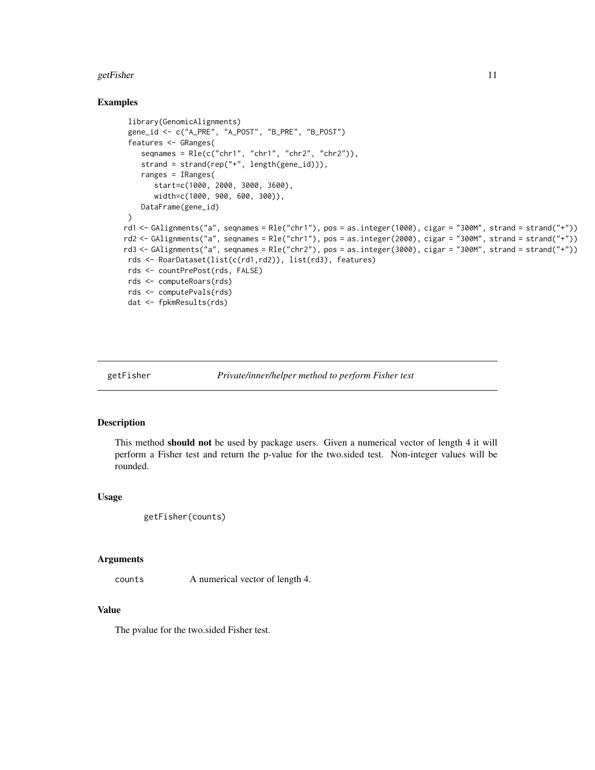#### <span id="page-10-0"></span>getFisher 11

# Examples

```
library(GenomicAlignments)
 gene_id <- c("A_PRE", "A_POST", "B_PRE", "B_POST")
 features <- GRanges(
    seqnames = Rle(c("chr1", "chr1", "chr2", "chr2")),
    strand = strand(rep("+", length(gene_id))),
    ranges = IRanges(
       start=c(1000, 2000, 3000, 3600),
       width=c(1000, 900, 600, 300)),
    DataFrame(gene_id)
)
rd1 <- GAlignments("a", seqnames = Rle("chr1"), pos = as.integer(1000), cigar = "300M", strand = strand("+"))
rd2 <- GAlignments("a", seqnames = Rle("chr1"), pos = as.integer(2000), cigar = "300M", strand = strand("+"))
rd3 <- GAlignments("a", seqnames = Rle("chr2"), pos = as.integer(3000), cigar = "300M", strand = strand("+"))
rds <- RoarDataset(list(c(rd1,rd2)), list(rd3), features)
 rds <- countPrePost(rds, FALSE)
 rds <- computeRoars(rds)
 rds <- computePvals(rds)
 dat <- fpkmResults(rds)
```
getFisher *Private/inner/helper method to perform Fisher test*

#### Description

This method should not be used by package users. Given a numerical vector of length 4 it will perform a Fisher test and return the p-value for the two.sided test. Non-integer values will be rounded.

#### Usage

```
getFisher(counts)
```
#### Arguments

counts A numerical vector of length 4.

### Value

The pvalue for the two.sided Fisher test.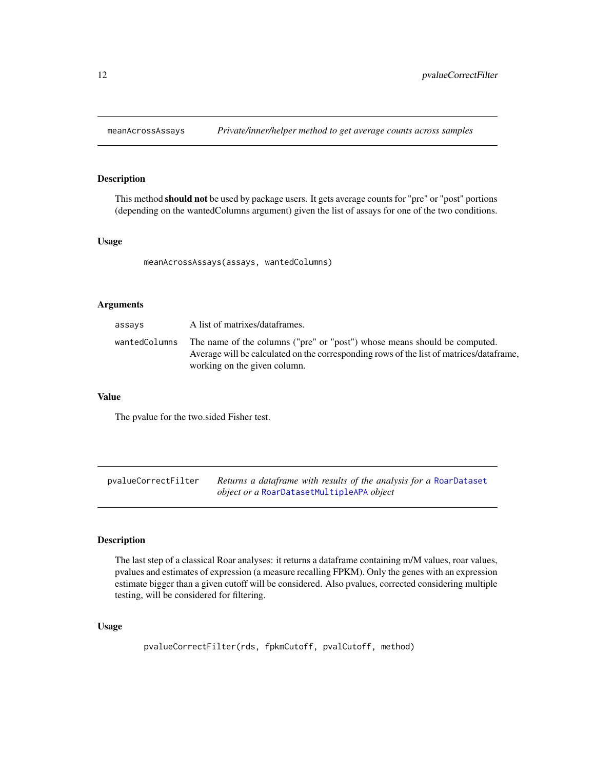<span id="page-11-0"></span>

# Description

This method **should not** be used by package users. It gets average counts for "pre" or "post" portions (depending on the wantedColumns argument) given the list of assays for one of the two conditions.

# Usage

meanAcrossAssays(assays, wantedColumns)

# Arguments

| assays        | A list of matrixes/dataframes.                                                                                                                                                                       |
|---------------|------------------------------------------------------------------------------------------------------------------------------------------------------------------------------------------------------|
| wantedColumns | The name of the columns ("pre" or "post") whose means should be computed.<br>Average will be calculated on the corresponding rows of the list of matrices/dataframe.<br>working on the given column. |

# Value

The pvalue for the two.sided Fisher test.

pvalueCorrectFilter *Returns a dataframe with results of the analysis for a* [RoarDataset](#page-15-1) *object or a* [RoarDatasetMultipleAPA](#page-19-1) *object*

# Description

The last step of a classical Roar analyses: it returns a dataframe containing m/M values, roar values, pvalues and estimates of expression (a measure recalling FPKM). Only the genes with an expression estimate bigger than a given cutoff will be considered. Also pvalues, corrected considering multiple testing, will be considered for filtering.

#### Usage

```
pvalueCorrectFilter(rds, fpkmCutoff, pvalCutoff, method)
```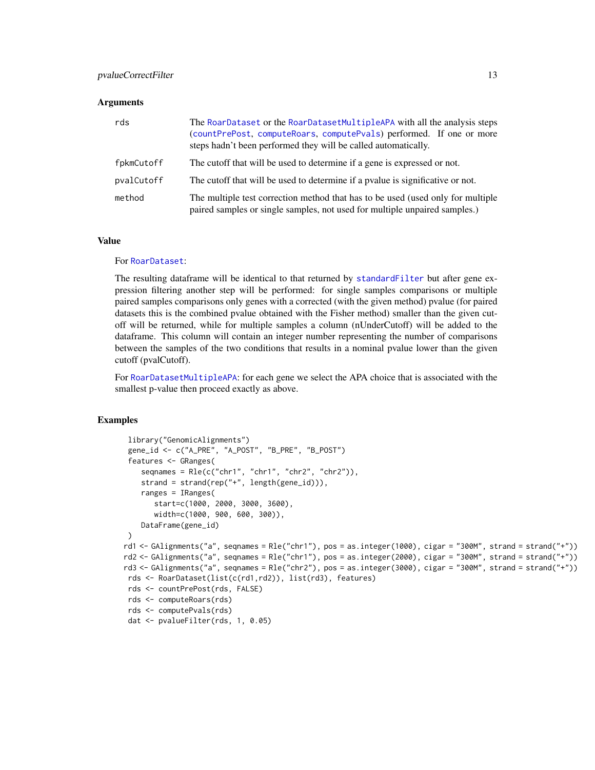#### <span id="page-12-0"></span>Arguments

| rds        | The RoarDataset or the RoarDatasetMultipleAPA with all the analysis steps<br>(countPrePost, computeRoars, computePvals) performed. If one or more<br>steps hadn't been performed they will be called automatically. |
|------------|---------------------------------------------------------------------------------------------------------------------------------------------------------------------------------------------------------------------|
| fpkmCutoff | The cutoff that will be used to determine if a gene is expressed or not.                                                                                                                                            |
| pvalCutoff | The cutoff that will be used to determine if a pyalue is significative or not.                                                                                                                                      |
| method     | The multiple test correction method that has to be used (used only for multiple<br>paired samples or single samples, not used for multiple unpaired samples.)                                                       |

#### Value

#### For [RoarDataset](#page-15-1):

The resulting dataframe will be identical to that returned by [standardFilter](#page-22-1) but after gene expression filtering another step will be performed: for single samples comparisons or multiple paired samples comparisons only genes with a corrected (with the given method) pvalue (for paired datasets this is the combined pvalue obtained with the Fisher method) smaller than the given cutoff will be returned, while for multiple samples a column (nUnderCutoff) will be added to the dataframe. This column will contain an integer number representing the number of comparisons between the samples of the two conditions that results in a nominal pvalue lower than the given cutoff (pvalCutoff).

For [RoarDatasetMultipleAPA](#page-19-1): for each gene we select the APA choice that is associated with the smallest p-value then proceed exactly as above.

```
library("GenomicAlignments")
 gene_id <- c("A_PRE", "A_POST", "B_PRE", "B_POST")
 features <- GRanges(
    seqnames = Rle(c("chr1", "chr1", "chr2", "chr2"),strand = strand(rep("+", length(gene_id))),
    ranges = IRanges(
       start=c(1000, 2000, 3000, 3600),
       width=c(1000, 900, 600, 300)),
    DataFrame(gene_id)
 )
rd1 <- GAlignments("a", seqnames = Rle("chr1"), pos = as.integer(1000), cigar = "300M", strand = strand("+"))
rd2 <- GAlignments("a", seqnames = Rle("chr1"), pos = as.integer(2000), cigar = "300M", strand = strand("+"))
rd3 <- GAlignments("a", seqnames = Rle("chr2"), pos = as.integer(3000), cigar = "300M", strand = strand("+"))
 rds <- RoarDataset(list(c(rd1,rd2)), list(rd3), features)
 rds <- countPrePost(rds, FALSE)
 rds <- computeRoars(rds)
 rds <- computePvals(rds)
 dat <- pvalueFilter(rds, 1, 0.05)
```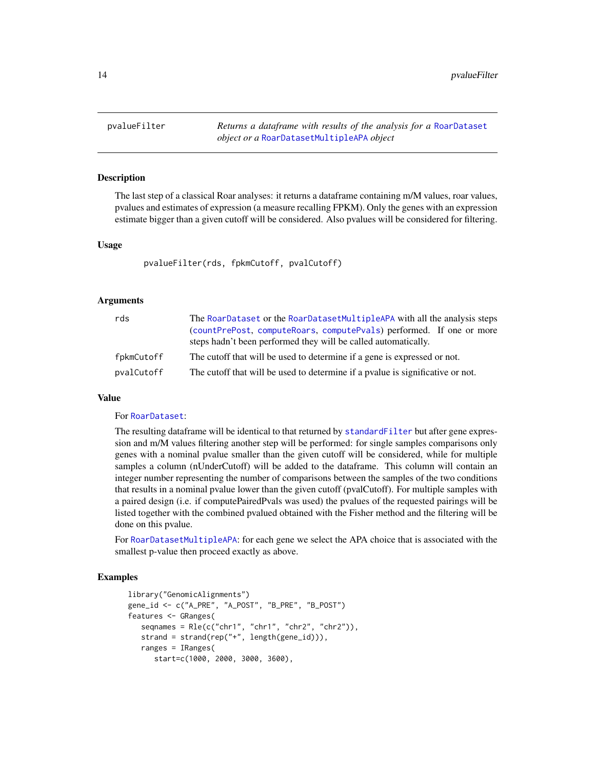<span id="page-13-1"></span><span id="page-13-0"></span>pvalueFilter *Returns a dataframe with results of the analysis for a* [RoarDataset](#page-15-1) *object or a* [RoarDatasetMultipleAPA](#page-19-1) *object*

#### **Description**

The last step of a classical Roar analyses: it returns a dataframe containing m/M values, roar values, pvalues and estimates of expression (a measure recalling FPKM). Only the genes with an expression estimate bigger than a given cutoff will be considered. Also pvalues will be considered for filtering.

#### Usage

pvalueFilter(rds, fpkmCutoff, pvalCutoff)

#### Arguments

| rds        | The RoarDataset or the RoarDatasetMultipleAPA with all the analysis steps      |
|------------|--------------------------------------------------------------------------------|
|            | (countPrePost, computeRoars, computePvals) performed. If one or more           |
|            | steps hadn't been performed they will be called automatically.                 |
| fpkmCutoff | The cutoff that will be used to determine if a gene is expressed or not.       |
| pvalCutoff | The cutoff that will be used to determine if a pyalue is significative or not. |

#### Value

#### For [RoarDataset](#page-15-1):

The resulting dataframe will be identical to that returned by [standardFilter](#page-22-1) but after gene expression and m/M values filtering another step will be performed: for single samples comparisons only genes with a nominal pvalue smaller than the given cutoff will be considered, while for multiple samples a column (nUnderCutoff) will be added to the dataframe. This column will contain an integer number representing the number of comparisons between the samples of the two conditions that results in a nominal pvalue lower than the given cutoff (pvalCutoff). For multiple samples with a paired design (i.e. if computePairedPvals was used) the pvalues of the requested pairings will be listed together with the combined pvalued obtained with the Fisher method and the filtering will be done on this pvalue.

For [RoarDatasetMultipleAPA](#page-19-1): for each gene we select the APA choice that is associated with the smallest p-value then proceed exactly as above.

```
library("GenomicAlignments")
gene_id <- c("A_PRE", "A_POST", "B_PRE", "B_POST")
features <- GRanges(
   seqnames = Rle(c("chr1", "chr1", "chr2", "chr2")),
   strand = strand(rep("+", length(gene_id))),
   ranges = IRanges(
      start=c(1000, 2000, 3000, 3600),
```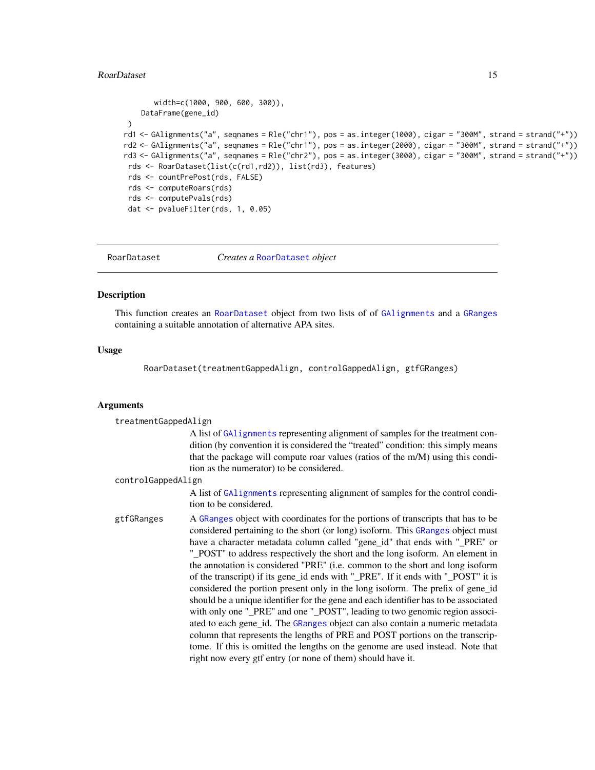#### <span id="page-14-0"></span>RoarDataset 15

```
width=c(1000, 900, 600, 300)),
    DataFrame(gene_id)
 )
rd1 <- GAlignments("a", seqnames = Rle("chr1"), pos = as.integer(1000), cigar = "300M", strand = strand("+"))
rd2 <- GAlignments("a", seqnames = Rle("chr1"), pos = as.integer(2000), cigar = "300M", strand = strand("+"))
rd3 <- GAlignments("a", seqnames = Rle("chr2"), pos = as.integer(3000), cigar = "300M", strand = strand("+"))
 rds <- RoarDataset(list(c(rd1,rd2)), list(rd3), features)
 rds <- countPrePost(rds, FALSE)
 rds <- computeRoars(rds)
 rds <- computePvals(rds)
 dat <- pvalueFilter(rds, 1, 0.05)
```

```
RoarDataset Creates a RoarDataset object
```
### **Description**

This function creates an [RoarDataset](#page-15-1) object from two lists of of [GAlignments](#page-0-0) and a [GRanges](#page-0-0) containing a suitable annotation of alternative APA sites.

#### Usage

RoarDataset(treatmentGappedAlign, controlGappedAlign, gtfGRanges)

#### Arguments

treatmentGappedAlign A list of [GAlignments](#page-0-0) representing alignment of samples for the treatment condition (by convention it is considered the "treated" condition: this simply means that the package will compute roar values (ratios of the m/M) using this condition as the numerator) to be considered.

#### controlGappedAlign

A list of [GAlignments](#page-0-0) representing alignment of samples for the control condition to be considered.

gtfGRanges A [GRanges](#page-0-0) object with coordinates for the portions of transcripts that has to be considered pertaining to the short (or long) isoform. This [GRanges](#page-0-0) object must have a character metadata column called "gene\_id" that ends with "\_PRE" or "\_POST" to address respectively the short and the long isoform. An element in the annotation is considered "PRE" (i.e. common to the short and long isoform of the transcript) if its gene\_id ends with "\_PRE". If it ends with "\_POST" it is considered the portion present only in the long isoform. The prefix of gene\_id should be a unique identifier for the gene and each identifier has to be associated with only one "\_PRE" and one "\_POST", leading to two genomic region associated to each gene\_id. The [GRanges](#page-0-0) object can also contain a numeric metadata column that represents the lengths of PRE and POST portions on the transcriptome. If this is omitted the lengths on the genome are used instead. Note that right now every gtf entry (or none of them) should have it.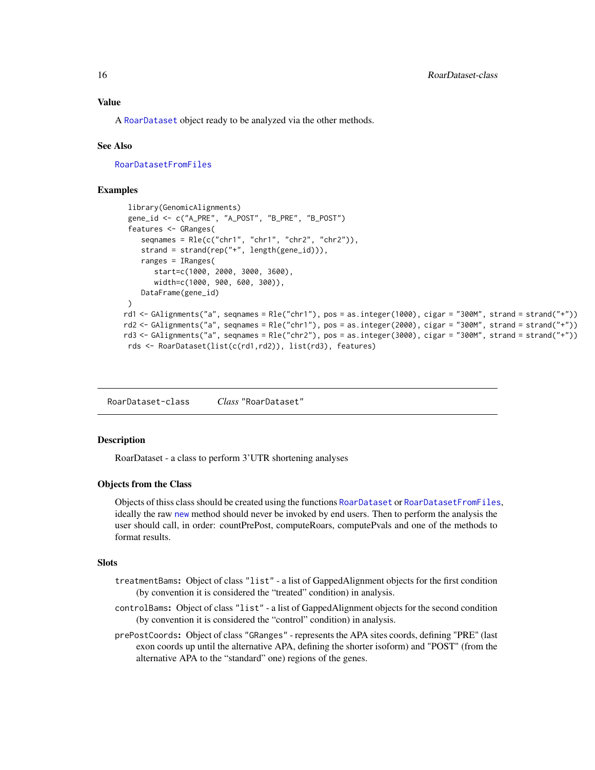<span id="page-15-0"></span>A [RoarDataset](#page-15-1) object ready to be analyzed via the other methods.

#### See Also

[RoarDatasetFromFiles](#page-17-1)

# Examples

```
library(GenomicAlignments)
 gene_id <- c("A_PRE", "A_POST", "B_PRE", "B_POST")
 features <- GRanges(
    seqnames = Rle(c("chr1", "chr1", "chr2", "chr2")),
    strand = strand(rep("+", length(gene_id))),
    ranges = IRanges(
       start=c(1000, 2000, 3000, 3600),
       width=c(1000, 900, 600, 300)),
    DataFrame(gene_id)
 )
rd1 <- GAlignments("a", seqnames = Rle("chr1"), pos = as.integer(1000), cigar = "300M", strand = strand("+"))
rd2 <- GAlignments("a", seqnames = Rle("chr1"), pos = as.integer(2000), cigar = "300M", strand = strand("+"))
rd3 <- GAlignments("a", seqnames = Rle("chr2"), pos = as.integer(3000), cigar = "300M", strand = strand("+"))
 rds <- RoarDataset(list(c(rd1,rd2)), list(rd3), features)
```
<span id="page-15-1"></span>RoarDataset-class *Class* "RoarDataset"

### **Description**

RoarDataset - a class to perform 3'UTR shortening analyses

#### Objects from the Class

Objects of thiss class should be created using the functions [RoarDataset](#page-14-1) or [RoarDatasetFromFiles](#page-17-1), ideally the raw [new](#page-0-0) method should never be invoked by end users. Then to perform the analysis the user should call, in order: countPrePost, computeRoars, computePvals and one of the methods to format results.

# **Slots**

- treatmentBams: Object of class "list" a list of GappedAlignment objects for the first condition (by convention it is considered the "treated" condition) in analysis.
- controlBams: Object of class "list" a list of GappedAlignment objects for the second condition (by convention it is considered the "control" condition) in analysis.
- prePostCoords: Object of class "GRanges" represents the APA sites coords, defining "PRE" (last exon coords up until the alternative APA, defining the shorter isoform) and "POST" (from the alternative APA to the "standard" one) regions of the genes.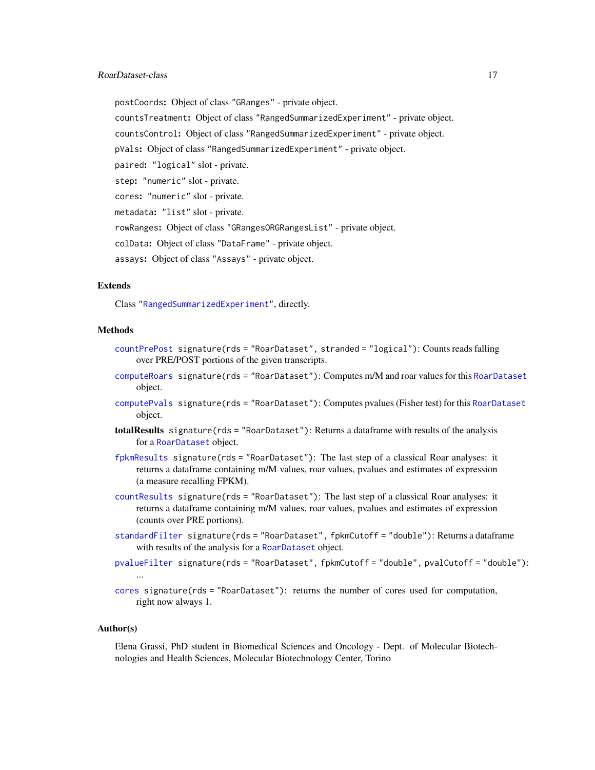#### <span id="page-16-0"></span>RoarDataset-class 17

postCoords: Object of class "GRanges" - private object. countsTreatment: Object of class "RangedSummarizedExperiment" - private object. countsControl: Object of class "RangedSummarizedExperiment" - private object. pVals: Object of class "RangedSummarizedExperiment" - private object. paired: "logical" slot - private. step: "numeric" slot - private. cores: "numeric" slot - private. metadata: "list" slot - private. rowRanges: Object of class "GRangesORGRangesList" - private object. colData: Object of class "DataFrame" - private object. assays: Object of class "Assays" - private object.

#### Extends

Class ["RangedSummarizedExperiment"](#page-0-0), directly.

#### Methods

- [countPrePost](#page-7-1) signature(rds = "RoarDataset", stranded = "logical"): Counts reads falling over PRE/POST portions of the given transcripts.
- [computeRoars](#page-5-1) signature(rds = "RoarDataset"): Computes m/M and roar values for this [RoarDataset](#page-15-1) object.
- [computePvals](#page-4-1) signature(rds = "RoarDataset"): Computes pvalues (Fisher test) for this [RoarDataset](#page-15-1) object.
- totalResults signature(rds = "RoarDataset"): Returns a dataframe with results of the analysis for a [RoarDataset](#page-15-1) object.
- [fpkmResults](#page-9-1) signature(rds = "RoarDataset"): The last step of a classical Roar analyses: it returns a dataframe containing m/M values, roar values, pvalues and estimates of expression (a measure recalling FPKM).
- [countResults](#page-8-1) signature(rds = "RoarDataset"): The last step of a classical Roar analyses: it returns a dataframe containing m/M values, roar values, pvalues and estimates of expression (counts over PRE portions).
- [standardFilter](#page-22-1) signature(rds = "RoarDataset", fpkmCutoff = "double"): Returns a dataframe with results of the analysis for a [RoarDataset](#page-15-1) object.
- [pvalueFilter](#page-13-1) signature(rds = "RoarDataset", fpkmCutoff = "double", pvalCutoff = "double"):
- [cores](#page-6-1) signature(rds = "RoarDataset"): returns the number of cores used for computation, right now always 1.

#### Author(s)

...

Elena Grassi, PhD student in Biomedical Sciences and Oncology - Dept. of Molecular Biotechnologies and Health Sciences, Molecular Biotechnology Center, Torino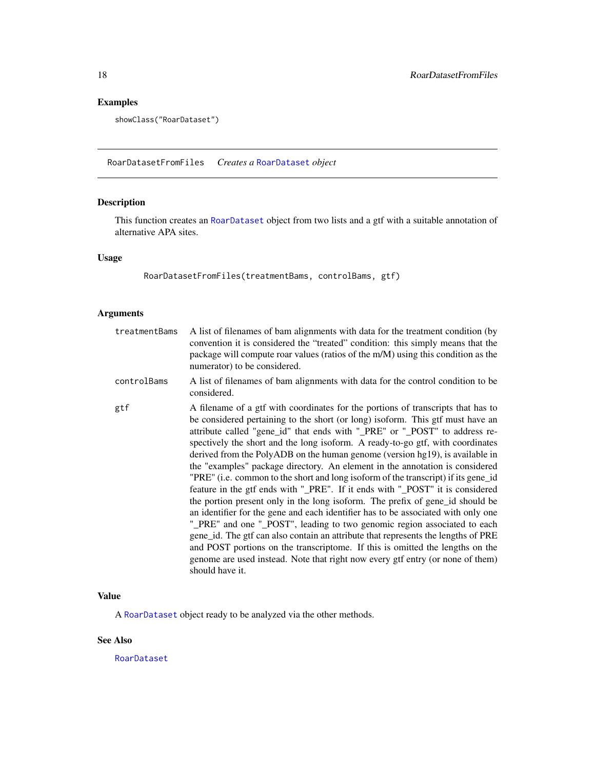# Examples

```
showClass("RoarDataset")
```
<span id="page-17-1"></span>RoarDatasetFromFiles *Creates a* [RoarDataset](#page-15-1) *object*

# Description

This function creates an [RoarDataset](#page-15-1) object from two lists and a gtf with a suitable annotation of alternative APA sites.

# Usage

RoarDatasetFromFiles(treatmentBams, controlBams, gtf)

# Arguments

| treatmentBams | A list of filenames of bam alignments with data for the treatment condition (by<br>convention it is considered the "treated" condition: this simply means that the<br>package will compute roar values (ratios of the m/M) using this condition as the<br>numerator) to be considered.                                                                                                                                                                                                                                                                                                                                                                                                                                                                                                                                                                                                                                                                                                                                                                                                                                                                                                                 |
|---------------|--------------------------------------------------------------------------------------------------------------------------------------------------------------------------------------------------------------------------------------------------------------------------------------------------------------------------------------------------------------------------------------------------------------------------------------------------------------------------------------------------------------------------------------------------------------------------------------------------------------------------------------------------------------------------------------------------------------------------------------------------------------------------------------------------------------------------------------------------------------------------------------------------------------------------------------------------------------------------------------------------------------------------------------------------------------------------------------------------------------------------------------------------------------------------------------------------------|
| controlBams   | A list of filenames of bam alignments with data for the control condition to be<br>considered.                                                                                                                                                                                                                                                                                                                                                                                                                                                                                                                                                                                                                                                                                                                                                                                                                                                                                                                                                                                                                                                                                                         |
| gtf           | A filename of a gtf with coordinates for the portions of transcripts that has to<br>be considered pertaining to the short (or long) isoform. This gtf must have an<br>attribute called "gene_id" that ends with "_PRE" or "_POST" to address re-<br>spectively the short and the long isoform. A ready-to-go gtf, with coordinates<br>derived from the PolyADB on the human genome (version hg19), is available in<br>the "examples" package directory. An element in the annotation is considered<br>"PRE" (i.e. common to the short and long isoform of the transcript) if its gene_id<br>feature in the gtf ends with "_PRE". If it ends with "_POST" it is considered<br>the portion present only in the long isoform. The prefix of gene id should be<br>an identifier for the gene and each identifier has to be associated with only one<br>"_PRE" and one "_POST", leading to two genomic region associated to each<br>gene_id. The gtf can also contain an attribute that represents the lengths of PRE<br>and POST portions on the transcriptome. If this is omitted the lengths on the<br>genome are used instead. Note that right now every gtf entry (or none of them)<br>should have it. |

# Value

A [RoarDataset](#page-15-1) object ready to be analyzed via the other methods.

# See Also

[RoarDataset](#page-14-1)

<span id="page-17-0"></span>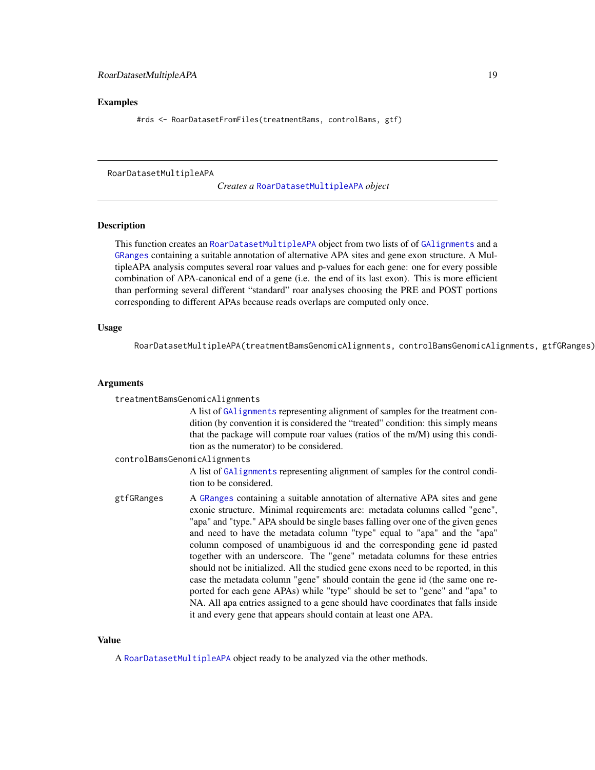#### <span id="page-18-0"></span>Examples

#rds <- RoarDatasetFromFiles(treatmentBams, controlBams, gtf)

<span id="page-18-1"></span>RoarDatasetMultipleAPA

*Creates a* [RoarDatasetMultipleAPA](#page-19-1) *object*

#### Description

This function creates an [RoarDatasetMultipleAPA](#page-19-1) object from two lists of of [GAlignments](#page-0-0) and a [GRanges](#page-0-0) containing a suitable annotation of alternative APA sites and gene exon structure. A MultipleAPA analysis computes several roar values and p-values for each gene: one for every possible combination of APA-canonical end of a gene (i.e. the end of its last exon). This is more efficient than performing several different "standard" roar analyses choosing the PRE and POST portions corresponding to different APAs because reads overlaps are computed only once.

# Usage

RoarDatasetMultipleAPA(treatmentBamsGenomicAlignments, controlBamsGenomicAlignments, gtfGRanges)

#### Arguments

|                              | treatmentBamsGenomicAlignments                                                                                                                                                                                                                                                                                                                                                                                                                                                                                                                                                                                                                                                                                                                                                                                                                                                                   |
|------------------------------|--------------------------------------------------------------------------------------------------------------------------------------------------------------------------------------------------------------------------------------------------------------------------------------------------------------------------------------------------------------------------------------------------------------------------------------------------------------------------------------------------------------------------------------------------------------------------------------------------------------------------------------------------------------------------------------------------------------------------------------------------------------------------------------------------------------------------------------------------------------------------------------------------|
|                              | A list of GA1ignments representing alignment of samples for the treatment con-<br>dition (by convention it is considered the "treated" condition: this simply means<br>that the package will compute roar values (ratios of the m/M) using this condi-<br>tion as the numerator) to be considered.                                                                                                                                                                                                                                                                                                                                                                                                                                                                                                                                                                                               |
| controlBamsGenomicAlignments |                                                                                                                                                                                                                                                                                                                                                                                                                                                                                                                                                                                                                                                                                                                                                                                                                                                                                                  |
|                              | A list of GA1 ignments representing alignment of samples for the control condi-<br>tion to be considered.                                                                                                                                                                                                                                                                                                                                                                                                                                                                                                                                                                                                                                                                                                                                                                                        |
| gtfGRanges                   | A GRanges containing a suitable annotation of alternative APA sites and gene<br>exonic structure. Minimal requirements are: metadata columns called "gene",<br>"apa" and "type." APA should be single bases falling over one of the given genes<br>and need to have the metadata column "type" equal to "apa" and the "apa"<br>column composed of unambiguous id and the corresponding gene id pasted<br>together with an underscore. The "gene" metadata columns for these entries<br>should not be initialized. All the studied gene exons need to be reported, in this<br>case the metadata column "gene" should contain the gene id (the same one re-<br>ported for each gene APAs) while "type" should be set to "gene" and "apa" to<br>NA. All apa entries assigned to a gene should have coordinates that falls inside<br>it and every gene that appears should contain at least one APA. |

# Value

A [RoarDatasetMultipleAPA](#page-19-1) object ready to be analyzed via the other methods.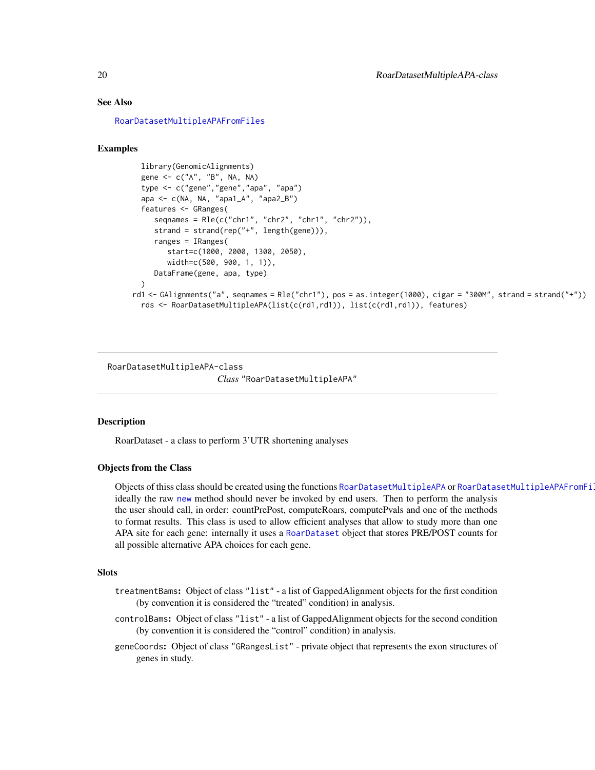#### <span id="page-19-0"></span>See Also

[RoarDatasetMultipleAPAFromFiles](#page-21-1)

#### Examples

```
library(GenomicAlignments)
  gene <- c("A", "B", NA, NA)
  type <- c("gene","gene","apa", "apa")
  apa <- c(NA, NA, "apa1_A", "apa2_B")
  features <- GRanges(
    seqnames = Rle(c("chr1", "chr2", "chr1", "chr2")),
    strand = strand(rep("+", length(gene))),
    ranges = IRanges(
        start=c(1000, 2000, 1300, 2050),
        width=c(500, 900, 1, 1)),
    DataFrame(gene, apa, type)
 )
rd1 <- GAlignments("a", seqnames = Rle("chr1"), pos = as.integer(1000), cigar = "300M", strand = strand("+"))
 rds <- RoarDatasetMultipleAPA(list(c(rd1,rd1)), list(c(rd1,rd1)), features)
```
<span id="page-19-1"></span>RoarDatasetMultipleAPA-class

*Class* "RoarDatasetMultipleAPA"

# **Description**

RoarDataset - a class to perform 3'UTR shortening analyses

#### Objects from the Class

Objects of thiss class should be created using the functions [RoarDatasetMultipleAPA](#page-18-1) or [RoarDatasetMultipleAPAFromFiles](#page-21-1), ideally the raw [new](#page-0-0) method should never be invoked by end users. Then to perform the analysis the user should call, in order: countPrePost, computeRoars, computePvals and one of the methods to format results. This class is used to allow efficient analyses that allow to study more than one APA site for each gene: internally it uses a [RoarDataset](#page-14-1) object that stores PRE/POST counts for all possible alternative APA choices for each gene.

### **Slots**

- treatmentBams: Object of class "list" a list of GappedAlignment objects for the first condition (by convention it is considered the "treated" condition) in analysis.
- controlBams: Object of class "list" a list of GappedAlignment objects for the second condition (by convention it is considered the "control" condition) in analysis.
- geneCoords: Object of class "GRangesList" private object that represents the exon structures of genes in study.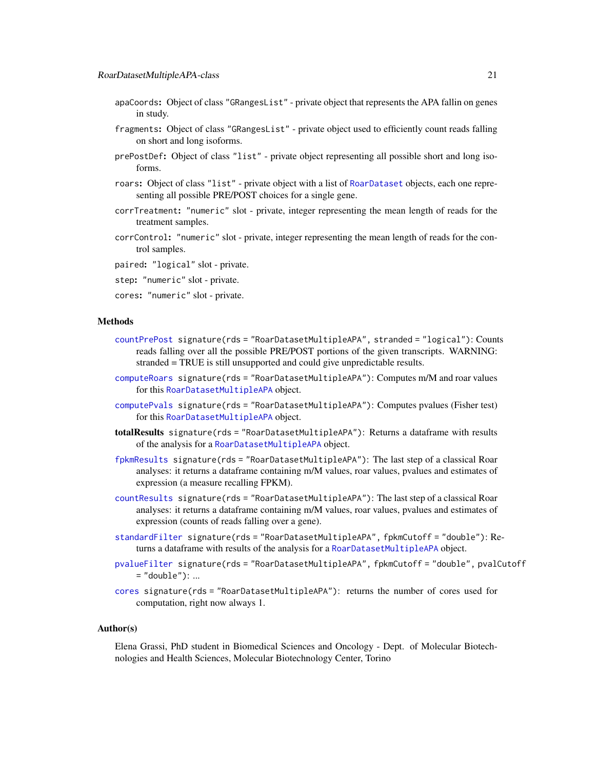- <span id="page-20-0"></span>apaCoords: Object of class "GRangesList" - private object that represents the APA fallin on genes in study.
- fragments: Object of class "GRangesList" private object used to efficiently count reads falling on short and long isoforms.
- prePostDef: Object of class "list" private object representing all possible short and long isoforms.
- roars: Object of class "list" private object with a list of [RoarDataset](#page-14-1) objects, each one representing all possible PRE/POST choices for a single gene.
- corrTreatment: "numeric" slot private, integer representing the mean length of reads for the treatment samples.
- corrControl: "numeric" slot private, integer representing the mean length of reads for the control samples.
- paired: "logical" slot private.
- step: "numeric" slot private.
- cores: "numeric" slot private.

#### Methods

- [countPrePost](#page-7-1) signature(rds = "RoarDatasetMultipleAPA", stranded = "logical"): Counts reads falling over all the possible PRE/POST portions of the given transcripts. WARNING: stranded = TRUE is still unsupported and could give unpredictable results.
- [computeRoars](#page-5-1) signature(rds = "RoarDatasetMultipleAPA"): Computes m/M and roar values for this [RoarDatasetMultipleAPA](#page-19-1) object.
- [computePvals](#page-4-1) signature(rds = "RoarDatasetMultipleAPA"): Computes pvalues (Fisher test) for this [RoarDatasetMultipleAPA](#page-19-1) object.
- totalResults signature(rds = "RoarDatasetMultipleAPA"): Returns a dataframe with results of the analysis for a [RoarDatasetMultipleAPA](#page-19-1) object.
- [fpkmResults](#page-9-1) signature(rds = "RoarDatasetMultipleAPA"): The last step of a classical Roar analyses: it returns a dataframe containing m/M values, roar values, pvalues and estimates of expression (a measure recalling FPKM).
- [countResults](#page-8-1) signature(rds = "RoarDatasetMultipleAPA"): The last step of a classical Roar analyses: it returns a dataframe containing m/M values, roar values, pvalues and estimates of expression (counts of reads falling over a gene).
- [standardFilter](#page-22-1) signature(rds = "RoarDatasetMultipleAPA", fpkmCutoff = "double"): Returns a dataframe with results of the analysis for a [RoarDatasetMultipleAPA](#page-19-1) object.
- [pvalueFilter](#page-13-1) signature(rds = "RoarDatasetMultipleAPA", fpkmCutoff = "double", pvalCutoff  $=$  "double"): ...
- [cores](#page-6-1) signature(rds = "RoarDatasetMultipleAPA"): returns the number of cores used for computation, right now always 1.

#### Author(s)

Elena Grassi, PhD student in Biomedical Sciences and Oncology - Dept. of Molecular Biotechnologies and Health Sciences, Molecular Biotechnology Center, Torino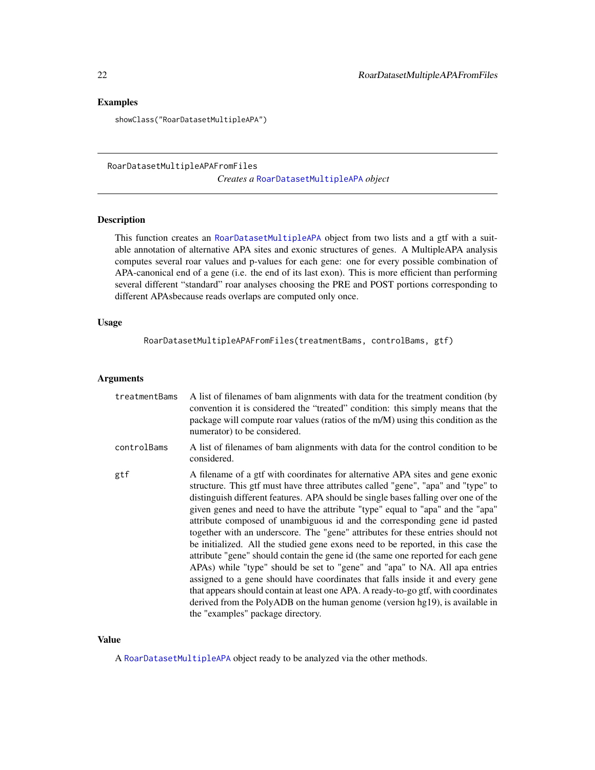# <span id="page-21-0"></span>Examples

showClass("RoarDatasetMultipleAPA")

<span id="page-21-1"></span>RoarDatasetMultipleAPAFromFiles *Creates a* [RoarDatasetMultipleAPA](#page-19-1) *object*

# Description

This function creates an [RoarDatasetMultipleAPA](#page-19-1) object from two lists and a gtf with a suitable annotation of alternative APA sites and exonic structures of genes. A MultipleAPA analysis computes several roar values and p-values for each gene: one for every possible combination of APA-canonical end of a gene (i.e. the end of its last exon). This is more efficient than performing several different "standard" roar analyses choosing the PRE and POST portions corresponding to different APAsbecause reads overlaps are computed only once.

# Usage

RoarDatasetMultipleAPAFromFiles(treatmentBams, controlBams, gtf)

#### Arguments

| treatmentBams | A list of filenames of bam alignments with data for the treatment condition (by<br>convention it is considered the "treated" condition: this simply means that the<br>package will compute roar values (ratios of the m/M) using this condition as the<br>numerator) to be considered.                                                                                                                                                                                                                                                                                                                                                                                                                                                                                                                                                                                                                                                                                                                                                                         |
|---------------|----------------------------------------------------------------------------------------------------------------------------------------------------------------------------------------------------------------------------------------------------------------------------------------------------------------------------------------------------------------------------------------------------------------------------------------------------------------------------------------------------------------------------------------------------------------------------------------------------------------------------------------------------------------------------------------------------------------------------------------------------------------------------------------------------------------------------------------------------------------------------------------------------------------------------------------------------------------------------------------------------------------------------------------------------------------|
| controlBams   | A list of filenames of bam alignments with data for the control condition to be<br>considered.                                                                                                                                                                                                                                                                                                                                                                                                                                                                                                                                                                                                                                                                                                                                                                                                                                                                                                                                                                 |
| gtf           | A filename of a gtf with coordinates for alternative APA sites and gene exonic<br>structure. This gtf must have three attributes called "gene", "apa" and "type" to<br>distinguish different features. APA should be single bases falling over one of the<br>given genes and need to have the attribute "type" equal to "apa" and the "apa"<br>attribute composed of unambiguous id and the corresponding gene id pasted<br>together with an underscore. The "gene" attributes for these entries should not<br>be initialized. All the studied gene exons need to be reported, in this case the<br>attribute "gene" should contain the gene id (the same one reported for each gene<br>APAs) while "type" should be set to "gene" and "apa" to NA. All apa entries<br>assigned to a gene should have coordinates that falls inside it and every gene<br>that appears should contain at least one APA. A ready-to-go gtf, with coordinates<br>derived from the PolyADB on the human genome (version hg19), is available in<br>the "examples" package directory. |

# Value

A [RoarDatasetMultipleAPA](#page-19-1) object ready to be analyzed via the other methods.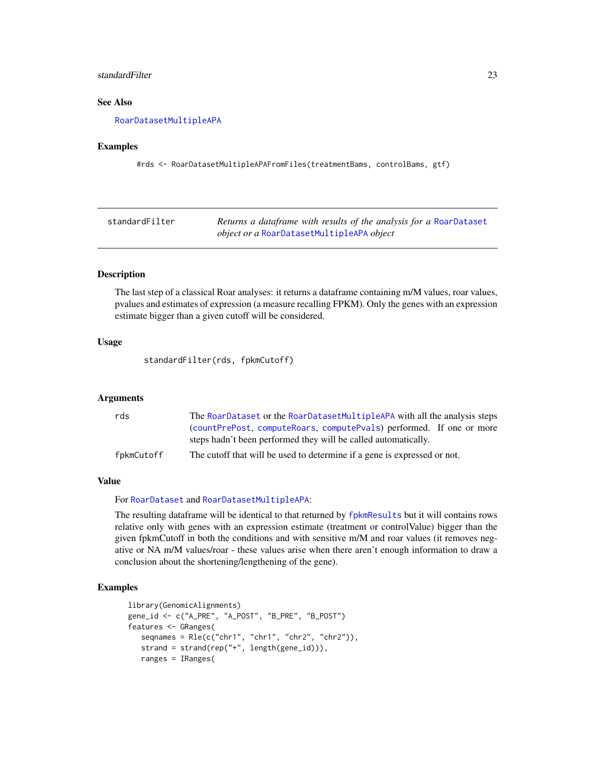# <span id="page-22-0"></span>standardFilter 23

# See Also

[RoarDatasetMultipleAPA](#page-18-1)

#### Examples

#rds <- RoarDatasetMultipleAPAFromFiles(treatmentBams, controlBams, gtf)

<span id="page-22-1"></span>

| standardFilter | Returns a dataframe with results of the analysis for a RoarDataset |
|----------------|--------------------------------------------------------------------|
|                | <i>object or a</i> RoarDatasetMultipleAPA <i>object</i>            |

# Description

The last step of a classical Roar analyses: it returns a dataframe containing m/M values, roar values, pvalues and estimates of expression (a measure recalling FPKM). Only the genes with an expression estimate bigger than a given cutoff will be considered.

# Usage

standardFilter(rds, fpkmCutoff)

#### Arguments

| rds        | The RoarDataset or the RoarDatasetMultipleAPA with all the analysis steps |
|------------|---------------------------------------------------------------------------|
|            | (countPrePost, computeRoars, computePvals) performed. If one or more      |
|            | steps hadn't been performed they will be called automatically.            |
| fpkmCutoff | The cutoff that will be used to determine if a gene is expressed or not.  |

# Value

For [RoarDataset](#page-15-1) and [RoarDatasetMultipleAPA](#page-19-1):

The resulting dataframe will be identical to that returned by [fpkmResults](#page-9-1) but it will contains rows relative only with genes with an expression estimate (treatment or controlValue) bigger than the given fpkmCutoff in both the conditions and with sensitive m/M and roar values (it removes negative or NA m/M values/roar - these values arise when there aren't enough information to draw a conclusion about the shortening/lengthening of the gene).

```
library(GenomicAlignments)
gene_id <- c("A_PRE", "A_POST", "B_PRE", "B_POST")
features <- GRanges(
   seqnames = Rle(c("chr1", "chr1", "chr2", "chr2"),strand = strand(rep("+", length(gene_id))),
   ranges = IRanges(
```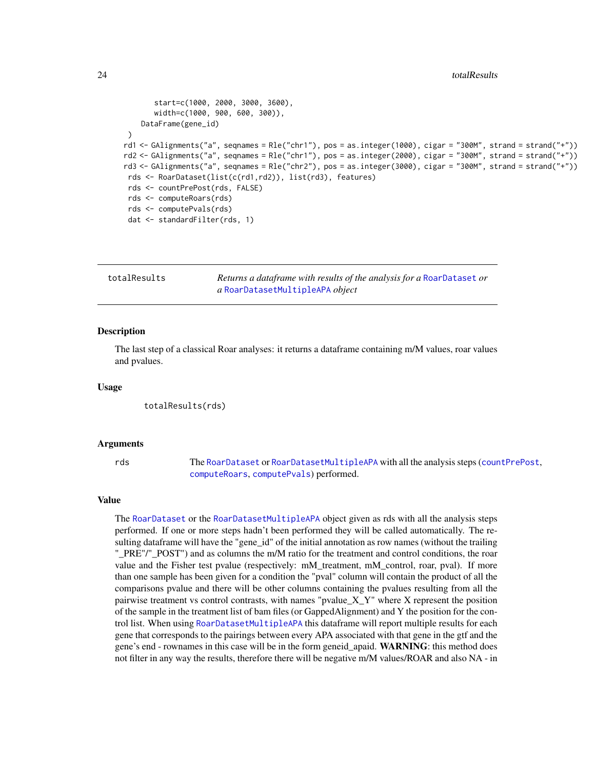```
start=c(1000, 2000, 3000, 3600),
       width=c(1000, 900, 600, 300)),
    DataFrame(gene_id)
 )
rd1 <- GAlignments("a", seqnames = Rle("chr1"), pos = as.integer(1000), cigar = "300M", strand = strand("+"))
rd2 <- GAlignments("a", seqnames = Rle("chr1"), pos = as.integer(2000), cigar = "300M", strand = strand("+"))
rd3 <- GAlignments("a", seqnames = Rle("chr2"), pos = as.integer(3000), cigar = "300M", strand = strand("+"))
 rds <- RoarDataset(list(c(rd1,rd2)), list(rd3), features)
 rds <- countPrePost(rds, FALSE)
 rds <- computeRoars(rds)
 rds <- computePvals(rds)
 dat <- standardFilter(rds, 1)
```
<span id="page-23-1"></span>

| totalResults | Returns a dataframe with results of the analysis for a RoarDataset or |
|--------------|-----------------------------------------------------------------------|
|              | a RoarDatasetMultipleAPA object                                       |

#### Description

The last step of a classical Roar analyses: it returns a dataframe containing m/M values, roar values and pvalues.

#### Usage

totalResults(rds)

#### Arguments

rds The [RoarDataset](#page-15-1) or [RoarDatasetMultipleAPA](#page-19-1) with all the analysis steps ([countPrePost](#page-7-1), [computeRoars](#page-5-1), [computePvals](#page-4-1)) performed.

#### Value

The [RoarDataset](#page-15-1) or the [RoarDatasetMultipleAPA](#page-19-1) object given as rds with all the analysis steps performed. If one or more steps hadn't been performed they will be called automatically. The resulting dataframe will have the "gene\_id" of the initial annotation as row names (without the trailing "\_PRE"/"\_POST") and as columns the m/M ratio for the treatment and control conditions, the roar value and the Fisher test pvalue (respectively: mM\_treatment, mM\_control, roar, pval). If more than one sample has been given for a condition the "pval" column will contain the product of all the comparisons pvalue and there will be other columns containing the pvalues resulting from all the pairwise treatment vs control contrasts, with names "pvalue\_X\_Y" where X represent the position of the sample in the treatment list of bam files (or GappedAlignment) and Y the position for the control list. When using [RoarDatasetMultipleAPA](#page-19-1) this dataframe will report multiple results for each gene that corresponds to the pairings between every APA associated with that gene in the gtf and the gene's end - rownames in this case will be in the form geneid\_apaid. WARNING: this method does not filter in any way the results, therefore there will be negative m/M values/ROAR and also NA - in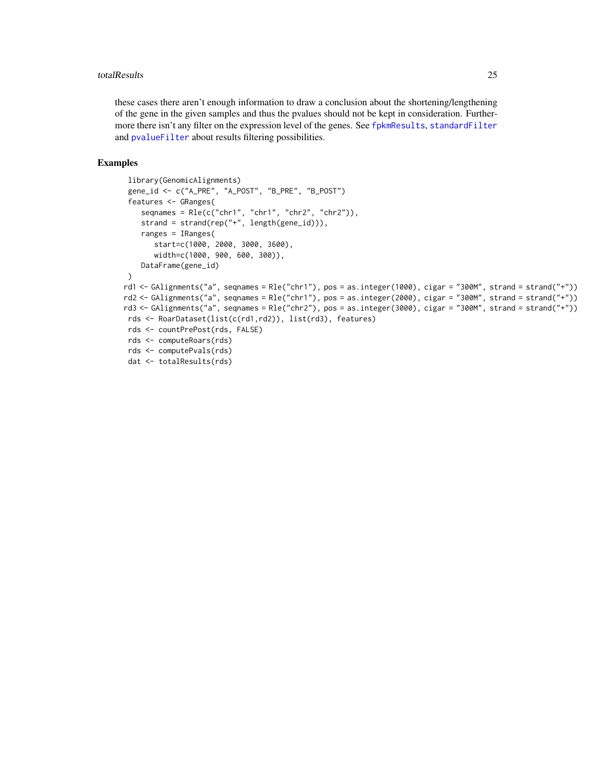#### <span id="page-24-0"></span>totalResults 25

these cases there aren't enough information to draw a conclusion about the shortening/lengthening of the gene in the given samples and thus the pvalues should not be kept in consideration. Furthermore there isn't any filter on the expression level of the genes. See [fpkmResults](#page-9-1), [standardFilter](#page-22-1) and [pvalueFilter](#page-13-1) about results filtering possibilities.

```
library(GenomicAlignments)
 gene_id <- c("A_PRE", "A_POST", "B_PRE", "B_POST")
 features <- GRanges(
    seqnames = Rle(c("chr1", "chr1", "chr2", "chr2")),
    strand = strand(rep("+", length(gene_id))),
    ranges = IRanges(
       start=c(1000, 2000, 3000, 3600),
       width=c(1000, 900, 600, 300)),
    DataFrame(gene_id)
 )
rd1 <- GAlignments("a", seqnames = Rle("chr1"), pos = as.integer(1000), cigar = "300M", strand = strand("+"))
rd2 <- GAlignments("a", seqnames = Rle("chr1"), pos = as.integer(2000), cigar = "300M", strand = strand("+"))
rd3 <- GAlignments("a", seqnames = Rle("chr2"), pos = as.integer(3000), cigar = "300M", strand = strand("+"))
rds <- RoarDataset(list(c(rd1,rd2)), list(rd3), features)
 rds <- countPrePost(rds, FALSE)
 rds <- computeRoars(rds)
 rds <- computePvals(rds)
 dat <- totalResults(rds)
```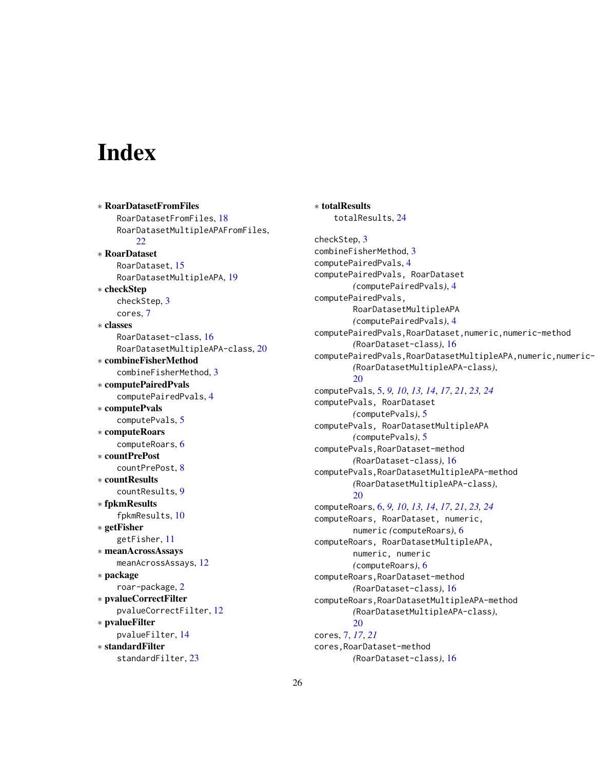# <span id="page-25-0"></span>**Index**

∗ RoarDatasetFromFiles RoarDatasetFromFiles, [18](#page-17-0) RoarDatasetMultipleAPAFromFiles, [22](#page-21-0) ∗ RoarDataset RoarDataset, [15](#page-14-0) RoarDatasetMultipleAPA, [19](#page-18-0) ∗ checkStep checkStep, [3](#page-2-0) cores, [7](#page-6-0) ∗ classes RoarDataset-class, [16](#page-15-0) RoarDatasetMultipleAPA-class, [20](#page-19-0) ∗ combineFisherMethod combineFisherMethod, [3](#page-2-0) ∗ computePairedPvals computePairedPvals, [4](#page-3-0) ∗ computePvals computePvals, [5](#page-4-0) ∗ computeRoars computeRoars, [6](#page-5-0) ∗ countPrePost countPrePost, [8](#page-7-0) ∗ countResults countResults, [9](#page-8-0) ∗ fpkmResults fpkmResults, [10](#page-9-0) ∗ getFisher getFisher, [11](#page-10-0) ∗ meanAcrossAssays meanAcrossAssays, [12](#page-11-0) ∗ package roar-package, [2](#page-1-0) ∗ pvalueCorrectFilter pvalueCorrectFilter, [12](#page-11-0) ∗ pvalueFilter pvalueFilter, [14](#page-13-0) ∗ standardFilter standardFilter, [23](#page-22-0)

∗ totalResults totalResults, [24](#page-23-0) checkStep, [3](#page-2-0) combineFisherMethod, [3](#page-2-0) computePairedPvals, [4](#page-3-0) computePairedPvals, RoarDataset *(*computePairedPvals*)*, [4](#page-3-0) computePairedPvals, RoarDatasetMultipleAPA *(*computePairedPvals*)*, [4](#page-3-0) computePairedPvals,RoarDataset,numeric,numeric-method *(*RoarDataset-class*)*, [16](#page-15-0) computePairedPvals, RoarDatasetMultipleAPA, numeric, numeric-*(*RoarDatasetMultipleAPA-class*)*,  $20$ computePvals, [5,](#page-4-0) *[9,](#page-8-0) [10](#page-9-0)*, *[13,](#page-12-0) [14](#page-13-0)*, *[17](#page-16-0)*, *[21](#page-20-0)*, *[23,](#page-22-0) [24](#page-23-0)* computePvals, RoarDataset *(*computePvals*)*, [5](#page-4-0) computePvals, RoarDatasetMultipleAPA *(*computePvals*)*, [5](#page-4-0) computePvals,RoarDataset-method *(*RoarDataset-class*)*, [16](#page-15-0) computePvals,RoarDatasetMultipleAPA-method *(*RoarDatasetMultipleAPA-class*)*, [20](#page-19-0) computeRoars, [6,](#page-5-0) *[9,](#page-8-0) [10](#page-9-0)*, *[13,](#page-12-0) [14](#page-13-0)*, *[17](#page-16-0)*, *[21](#page-20-0)*, *[23,](#page-22-0) [24](#page-23-0)* computeRoars, RoarDataset, numeric, numeric *(*computeRoars*)*, [6](#page-5-0) computeRoars, RoarDatasetMultipleAPA, numeric, numeric *(*computeRoars*)*, [6](#page-5-0) computeRoars,RoarDataset-method *(*RoarDataset-class*)*, [16](#page-15-0) computeRoars,RoarDatasetMultipleAPA-method *(*RoarDatasetMultipleAPA-class*)*, [20](#page-19-0) cores, [7,](#page-6-0) *[17](#page-16-0)*, *[21](#page-20-0)* cores,RoarDataset-method *(*RoarDataset-class*)*, [16](#page-15-0)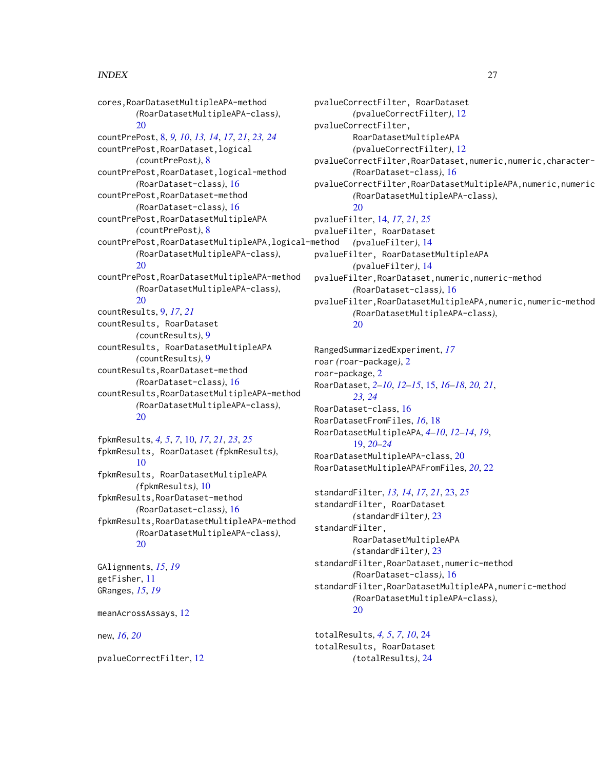### INDEX 27

cores,RoarDatasetMultipleAPA-method *(*RoarDatasetMultipleAPA-class*)*, [20](#page-19-0) countPrePost, [8,](#page-7-0) *[9,](#page-8-0) [10](#page-9-0)*, *[13,](#page-12-0) [14](#page-13-0)*, *[17](#page-16-0)*, *[21](#page-20-0)*, *[23,](#page-22-0) [24](#page-23-0)* countPrePost,RoarDataset,logical *(*countPrePost*)*, [8](#page-7-0) countPrePost,RoarDataset,logical-method *(*RoarDataset-class*)*, [16](#page-15-0) countPrePost,RoarDataset-method *(*RoarDataset-class*)*, [16](#page-15-0) countPrePost,RoarDatasetMultipleAPA *(*countPrePost*)*, [8](#page-7-0) countPrePost,RoarDatasetMultipleAPA,logical-method *(*RoarDatasetMultipleAPA-class*)*,  $20$ countPrePost,RoarDatasetMultipleAPA-method *(*RoarDatasetMultipleAPA-class*)*, [20](#page-19-0) countResults, [9,](#page-8-0) *[17](#page-16-0)*, *[21](#page-20-0)* countResults, RoarDataset *(*countResults*)*, [9](#page-8-0) countResults, RoarDatasetMultipleAPA *(*countResults*)*, [9](#page-8-0) countResults,RoarDataset-method *(*RoarDataset-class*)*, [16](#page-15-0) countResults,RoarDatasetMultipleAPA-method *(*RoarDatasetMultipleAPA-class*)*, [20](#page-19-0)

fpkmResults, *[4,](#page-3-0) [5](#page-4-0)*, *[7](#page-6-0)*, [10,](#page-9-0) *[17](#page-16-0)*, *[21](#page-20-0)*, *[23](#page-22-0)*, *[25](#page-24-0)* fpkmResults, RoarDataset *(*fpkmResults*)*, [10](#page-9-0) fpkmResults, RoarDatasetMultipleAPA *(*fpkmResults*)*, [10](#page-9-0) fpkmResults,RoarDataset-method *(*RoarDataset-class*)*, [16](#page-15-0) fpkmResults,RoarDatasetMultipleAPA-method *(*RoarDatasetMultipleAPA-class*)*, [20](#page-19-0)

GAlignments, *[15](#page-14-0)*, *[19](#page-18-0)* getFisher, [11](#page-10-0) GRanges, *[15](#page-14-0)*, *[19](#page-18-0)*

meanAcrossAssays, [12](#page-11-0)

new, *[16](#page-15-0)*, *[20](#page-19-0)*

pvalueCorrectFilter, [12](#page-11-0)

pvalueCorrectFilter, RoarDataset *(*pvalueCorrectFilter*)*, [12](#page-11-0) pvalueCorrectFilter, RoarDatasetMultipleAPA *(*pvalueCorrectFilter*)*, [12](#page-11-0) pvalueCorrectFilter, RoarDataset, numeric, numeric, character-*(*RoarDataset-class*)*, [16](#page-15-0) pvalueCorrectFilter, RoarDatasetMultipleAPA, numeric, numeric *(*RoarDatasetMultipleAPA-class*)*, [20](#page-19-0) pvalueFilter, [14,](#page-13-0) *[17](#page-16-0)*, *[21](#page-20-0)*, *[25](#page-24-0)* pvalueFilter, RoarDataset *(*pvalueFilter*)*, [14](#page-13-0) pvalueFilter, RoarDatasetMultipleAPA *(*pvalueFilter*)*, [14](#page-13-0) pvalueFilter,RoarDataset,numeric,numeric-method *(*RoarDataset-class*)*, [16](#page-15-0) pvalueFilter,RoarDatasetMultipleAPA,numeric,numeric-method *(*RoarDatasetMultipleAPA-class*)*, [20](#page-19-0)

RangedSummarizedExperiment, *[17](#page-16-0)* roar *(*roar-package*)*, [2](#page-1-0) roar-package, [2](#page-1-0) RoarDataset, *[2](#page-1-0)[–10](#page-9-0)*, *[12](#page-11-0)[–15](#page-14-0)*, [15,](#page-14-0) *[16](#page-15-0)[–18](#page-17-0)*, *[20,](#page-19-0) [21](#page-20-0)*, *[23,](#page-22-0) [24](#page-23-0)* RoarDataset-class, [16](#page-15-0) RoarDatasetFromFiles, *[16](#page-15-0)*, [18](#page-17-0) RoarDatasetMultipleAPA, *[4](#page-3-0)[–10](#page-9-0)*, *[12](#page-11-0)[–14](#page-13-0)*, *[19](#page-18-0)*, [19,](#page-18-0) *[20](#page-19-0)[–24](#page-23-0)* RoarDatasetMultipleAPA-class, [20](#page-19-0) RoarDatasetMultipleAPAFromFiles, *[20](#page-19-0)*, [22](#page-21-0)

standardFilter, *[13,](#page-12-0) [14](#page-13-0)*, *[17](#page-16-0)*, *[21](#page-20-0)*, [23,](#page-22-0) *[25](#page-24-0)* standardFilter, RoarDataset *(*standardFilter*)*, [23](#page-22-0) standardFilter, RoarDatasetMultipleAPA *(*standardFilter*)*, [23](#page-22-0) standardFilter,RoarDataset,numeric-method *(*RoarDataset-class*)*, [16](#page-15-0) standardFilter,RoarDatasetMultipleAPA,numeric-method *(*RoarDatasetMultipleAPA-class*)*, [20](#page-19-0)

totalResults, *[4,](#page-3-0) [5](#page-4-0)*, *[7](#page-6-0)*, *[10](#page-9-0)*, [24](#page-23-0) totalResults, RoarDataset *(*totalResults*)*, [24](#page-23-0)